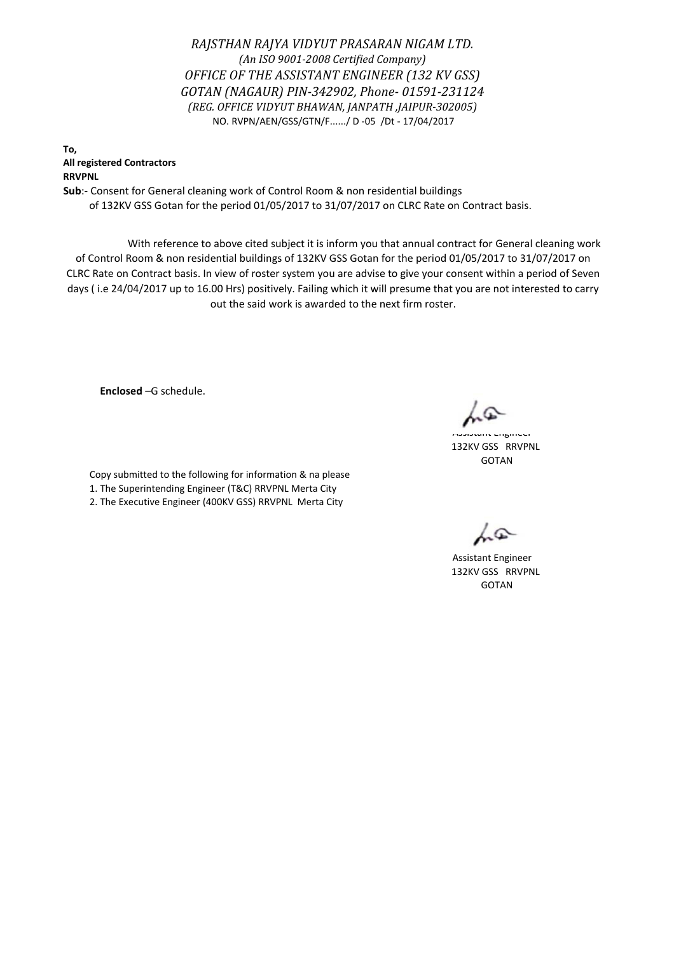*RAJSTHAN RAJYA VIDYUT PRASARAN NIGAM LTD. (An ISO 9001-2008 Certified Company) OFFICE OF THE ASSISTANT ENGINEER (132 KV GSS) GOTAN (NAGAUR) PIN-342902, Phone- 01591-231124 (REG. OFFICE VIDYUT BHAWAN, JANPATH ,JAIPUR-302005)* NO. RVPN/AEN/GSS/GTN/F....../ D -05 /Dt - 17/04/2017

**To, All registered Contractors RRVPNL**

**Sub**:- Consent for General cleaning work of Control Room & non residential buildings of 132KV GSS Gotan for the period 01/05/2017 to 31/07/2017 on CLRC Rate on Contract basis.

 With reference to above cited subject it is inform you that annual contract for General cleaning work of Control Room & non residential buildings of 132KV GSS Gotan for the period 01/05/2017 to 31/07/2017 on CLRC Rate on Contract basis. In view of roster system you are advise to give your consent within a period of Seven days ( i.e 24/04/2017 up to 16.00 Hrs) positively. Failing which it will presume that you are not interested to carry out the said work is awarded to the next firm roster.

**Enclosed** –G schedule.

Copy submitted to the following for information & na please 1. The Superintending Engineer (T&C) RRVPNL Merta City 2. The Executive Engineer (400KV GSS) RRVPNL Merta City

 GOTAN 132KV GSS RRVPNL Assistant Engineer

Assistant Engineer 132KV GSS RRVPNL GOTAN